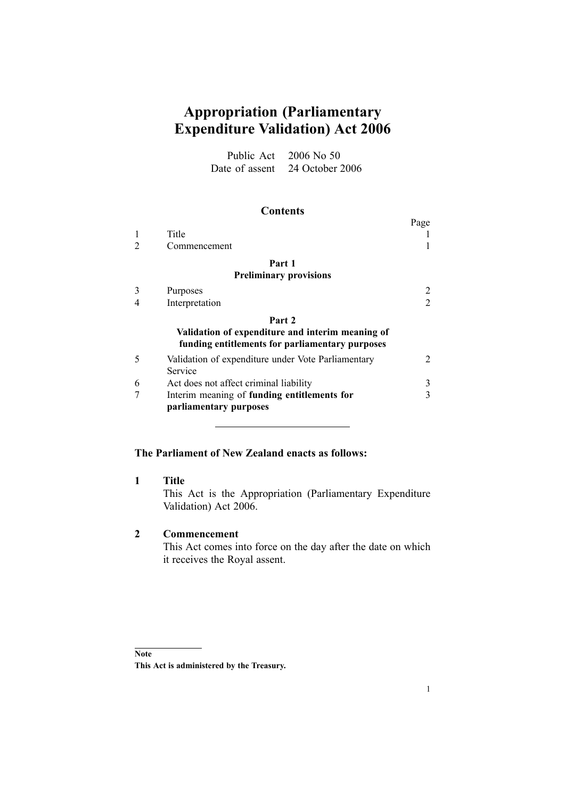# **Appropriation (Parliamentary Expenditure Validation) Act 2006**

Public Act 2006 No 50 Date of assent 24 October 2006

#### **Contents**

|                                                                                                     |                                                                       | Page |  |
|-----------------------------------------------------------------------------------------------------|-----------------------------------------------------------------------|------|--|
|                                                                                                     | Title                                                                 |      |  |
|                                                                                                     | Commencement                                                          |      |  |
|                                                                                                     | Part 1                                                                |      |  |
| <b>Preliminary provisions</b>                                                                       |                                                                       |      |  |
| 3                                                                                                   | Purposes                                                              |      |  |
|                                                                                                     | Interpretation                                                        |      |  |
|                                                                                                     | Part 2                                                                |      |  |
| Validation of expenditure and interim meaning of<br>funding entitlements for parliamentary purposes |                                                                       |      |  |
| 5                                                                                                   | Validation of expenditure under Vote Parliamentary<br>Service         |      |  |
| 6                                                                                                   | Act does not affect criminal liability                                | 3    |  |
|                                                                                                     | Interim meaning of funding entitlements for<br>parliamentary purposes |      |  |

# **The Parliament of New Zealand enacts as follows:**

## **1 Title**

This Act is the Appropriation (Parliamentary Expenditure Validation) Act 2006.

## **2 Commencement**

This Act comes into force on the day after the date on which it receives the Royal assent.

**Note**

**This Act is administered by the Treasury.**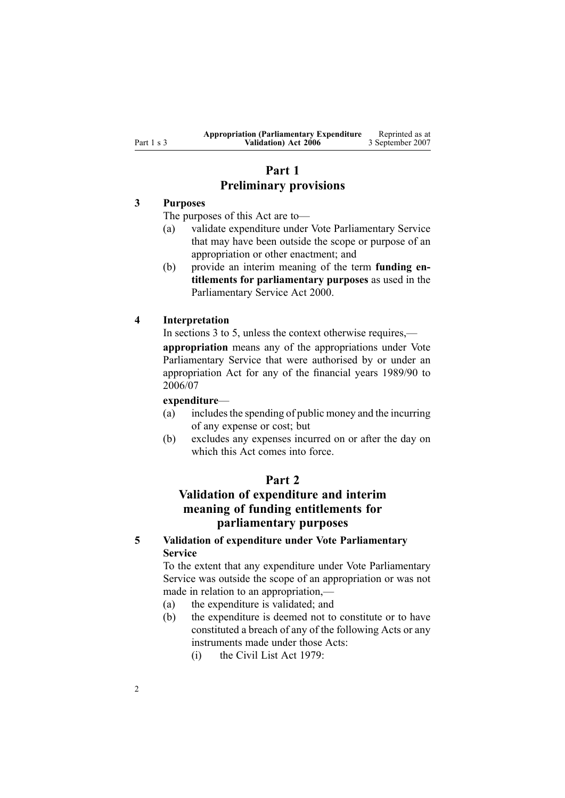## **Part 1 Preliminary provisions**

### <span id="page-1-0"></span>**3 Purposes**

The purposes of this Act are to—

- (a) validate expenditure under Vote Parliamentary Service that may have been outside the scope or purpose of an appropriation or other enactment; and
- (b) provide an interim meaning of the term **funding entitlements for parliamentary purposes** as used in the [Parliamentary](http://www.legislation.govt.nz/pdfLink.aspx?id=DLM55839) Service Act 2000.

#### **4 Interpretation**

In sections 3 to 5, unless the context otherwise requires,—

**appropriation** means any of the appropriations under Vote Parliamentary Service that were authorised by or under an appropriation Act for any of the financial years 1989/90 to 2006/07

#### **expenditure**—

- (a) includesthe spending of public money and the incurring of any expense or cost; but
- (b) excludes any expenses incurred on or after the day on which this Act comes into force.

## **Part 2**

# **Validation of expenditure and interim meaning of funding entitlements for parliamentary purposes**

## **5 Validation of expenditure under Vote Parliamentary Service**

To the extent that any expenditure under Vote Parliamentary Service was outside the scope of an appropriation or was not made in relation to an appropriation,—

- (a) the expenditure is validated; and
- (b) the expenditure is deemed not to constitute or to have constituted <sup>a</sup> breach of any of the following Acts or any instruments made under those Acts:
	- (i) the [Civil](http://www.legislation.govt.nz/pdfLink.aspx?id=DLM32049) List Act 1979: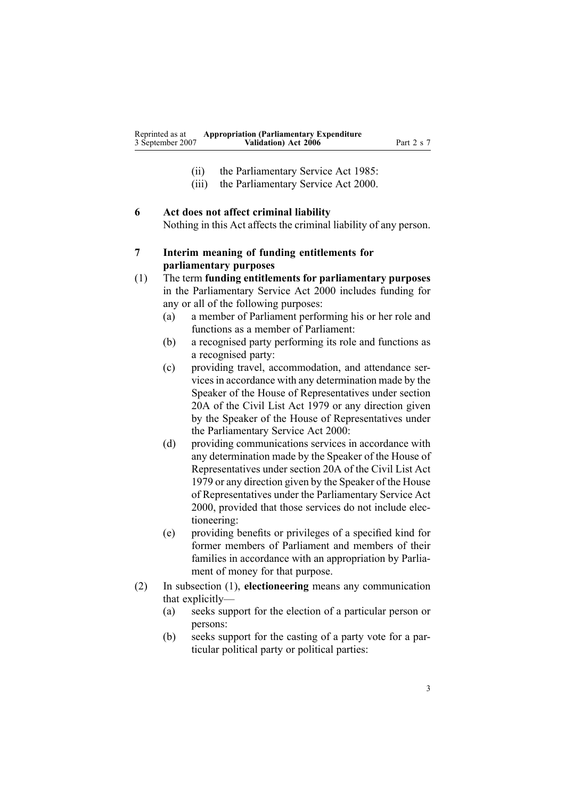- (ii) the Parliamentary Service Act 1985:
- (iii) the [Parliamentary](http://www.legislation.govt.nz/pdfLink.aspx?id=DLM55839) Service Act 2000.

# <span id="page-2-0"></span>**6 Act does not affect criminal liability** Nothing in this Act affects the criminal liability of any person.

- **7 Interim meaning of funding entitlements for parliamentary purposes**
- (1) The term **funding entitlements for parliamentary purposes** in the [Parliamentary](http://www.legislation.govt.nz/pdfLink.aspx?id=DLM55839) Service Act 2000 includes funding for any or all of the following purposes:
	- (a) <sup>a</sup> member of Parliament performing his or her role and functions as <sup>a</sup> member of Parliament:
	- (b) <sup>a</sup> recognised party performing its role and functions as <sup>a</sup> recognised party:
	- (c) providing travel, accommodation, and attendance servicesin accordance with any determination made by the Speaker of the House of Representatives under section [20A](http://www.legislation.govt.nz/pdfLink.aspx?id=DLM32424) of the [Civil](http://www.legislation.govt.nz/pdfLink.aspx?id=DLM32049) List Act 1979 or any direction given by the Speaker of the House of Representatives under the [Parliamentary](http://www.legislation.govt.nz/pdfLink.aspx?id=DLM55839) Service Act 2000:
	- (d) providing communications services in accordance with any determination made by the Speaker of the House of Representatives under section [20A](http://www.legislation.govt.nz/pdfLink.aspx?id=DLM32424) of the [Civil](http://www.legislation.govt.nz/pdfLink.aspx?id=DLM32049) List Act [1979](http://www.legislation.govt.nz/pdfLink.aspx?id=DLM32049) or any direction given by the Speaker of the House of Representatives under the [Parliamentary](http://www.legislation.govt.nz/pdfLink.aspx?id=DLM55839) Service Act [2000](http://www.legislation.govt.nz/pdfLink.aspx?id=DLM55839), provided that those services do not include electioneering:
	- (e) providing benefits or privileges of <sup>a</sup> specified kind for former members of Parliament and members of their families in accordance with an appropriation by Parliament of money for that purpose.
- (2) In subsection (1), **electioneering** means any communication that explicitly—
	- (a) seeks suppor<sup>t</sup> for the election of <sup>a</sup> particular person or persons:
	- (b) seeks suppor<sup>t</sup> for the casting of <sup>a</sup> party vote for <sup>a</sup> particular political party or political parties: